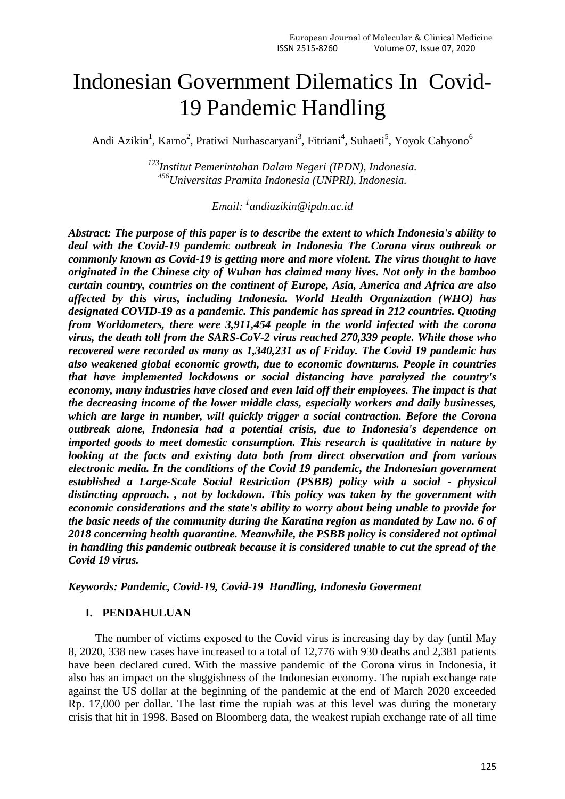# Indonesian Government Dilematics In Covid-19 Pandemic Handling

Andi Azikin<sup>1</sup>, Karno<sup>2</sup>, Pratiwi Nurhascaryani<sup>3</sup>, Fitriani<sup>4</sup>, Suhaeti<sup>5</sup>, Yoyok Cahyono<sup>6</sup>

*<sup>123</sup>Institut Pemerintahan Dalam Negeri (IPDN), Indonesia. <sup>456</sup>Universitas Pramita Indonesia (UNPRI), Indonesia.*

*Email: <sup>1</sup> [andiazikin@ipdn.ac.id](mailto:andiazikin@ipdn.ac.id)*

*Abstract: The purpose of this paper is to describe the extent to which Indonesia's ability to deal with the Covid-19 pandemic outbreak in Indonesia The Corona virus outbreak or commonly known as Covid-19 is getting more and more violent. The virus thought to have originated in the Chinese city of Wuhan has claimed many lives. Not only in the bamboo curtain country, countries on the continent of Europe, Asia, America and Africa are also affected by this virus, including Indonesia. World Health Organization (WHO) has designated COVID-19 as a pandemic. This pandemic has spread in 212 countries. Quoting from Worldometers, there were 3,911,454 people in the world infected with the corona virus, the death toll from the SARS-CoV-2 virus reached 270,339 people. While those who recovered were recorded as many as 1,340,231 as of Friday. The Covid 19 pandemic has also weakened global economic growth, due to economic downturns. People in countries that have implemented lockdowns or social distancing have paralyzed the country's economy, many industries have closed and even laid off their employees. The impact is that the decreasing income of the lower middle class, especially workers and daily businesses, which are large in number, will quickly trigger a social contraction. Before the Corona outbreak alone, Indonesia had a potential crisis, due to Indonesia's dependence on imported goods to meet domestic consumption. This research is qualitative in nature by looking at the facts and existing data both from direct observation and from various electronic media. In the conditions of the Covid 19 pandemic, the Indonesian government established a Large-Scale Social Restriction (PSBB) policy with a social - physical distincting approach. , not by lockdown. This policy was taken by the government with economic considerations and the state's ability to worry about being unable to provide for the basic needs of the community during the Karatina region as mandated by Law no. 6 of 2018 concerning health quarantine. Meanwhile, the PSBB policy is considered not optimal in handling this pandemic outbreak because it is considered unable to cut the spread of the Covid 19 virus.*

## *Keywords: Pandemic, Covid-19, Covid-19 Handling, Indonesia Goverment*

#### **I. PENDAHULUAN**

The number of victims exposed to the Covid virus is increasing day by day (until May 8, 2020, 338 new cases have increased to a total of 12,776 with 930 deaths and 2,381 patients have been declared cured. With the massive pandemic of the Corona virus in Indonesia, it also has an impact on the sluggishness of the Indonesian economy. The rupiah exchange rate against the US dollar at the beginning of the pandemic at the end of March 2020 exceeded Rp. 17,000 per dollar. The last time the rupiah was at this level was during the monetary crisis that hit in 1998. Based on Bloomberg data, the weakest rupiah exchange rate of all time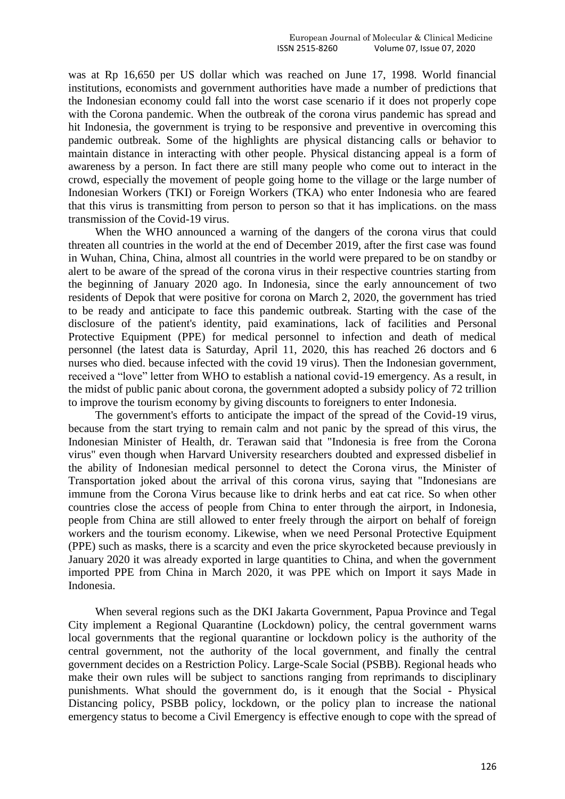was at Rp 16,650 per US dollar which was reached on June 17, 1998. World financial institutions, economists and government authorities have made a number of predictions that the Indonesian economy could fall into the worst case scenario if it does not properly cope with the Corona pandemic. When the outbreak of the corona virus pandemic has spread and hit Indonesia, the government is trying to be responsive and preventive in overcoming this pandemic outbreak. Some of the highlights are physical distancing calls or behavior to maintain distance in interacting with other people. Physical distancing appeal is a form of awareness by a person. In fact there are still many people who come out to interact in the crowd, especially the movement of people going home to the village or the large number of Indonesian Workers (TKI) or Foreign Workers (TKA) who enter Indonesia who are feared that this virus is transmitting from person to person so that it has implications. on the mass transmission of the Covid-19 virus.

When the WHO announced a warning of the dangers of the corona virus that could threaten all countries in the world at the end of December 2019, after the first case was found in Wuhan, China, China, almost all countries in the world were prepared to be on standby or alert to be aware of the spread of the corona virus in their respective countries starting from the beginning of January 2020 ago. In Indonesia, since the early announcement of two residents of Depok that were positive for corona on March 2, 2020, the government has tried to be ready and anticipate to face this pandemic outbreak. Starting with the case of the disclosure of the patient's identity, paid examinations, lack of facilities and Personal Protective Equipment (PPE) for medical personnel to infection and death of medical personnel (the latest data is Saturday, April 11, 2020, this has reached 26 doctors and 6 nurses who died. because infected with the covid 19 virus). Then the Indonesian government, received a "love" letter from WHO to establish a national covid-19 emergency. As a result, in the midst of public panic about corona, the government adopted a subsidy policy of 72 trillion to improve the tourism economy by giving discounts to foreigners to enter Indonesia.

The government's efforts to anticipate the impact of the spread of the Covid-19 virus, because from the start trying to remain calm and not panic by the spread of this virus, the Indonesian Minister of Health, dr. Terawan said that "Indonesia is free from the Corona virus" even though when Harvard University researchers doubted and expressed disbelief in the ability of Indonesian medical personnel to detect the Corona virus, the Minister of Transportation joked about the arrival of this corona virus, saying that "Indonesians are immune from the Corona Virus because like to drink herbs and eat cat rice. So when other countries close the access of people from China to enter through the airport, in Indonesia, people from China are still allowed to enter freely through the airport on behalf of foreign workers and the tourism economy. Likewise, when we need Personal Protective Equipment (PPE) such as masks, there is a scarcity and even the price skyrocketed because previously in January 2020 it was already exported in large quantities to China, and when the government imported PPE from China in March 2020, it was PPE which on Import it says Made in Indonesia.

When several regions such as the DKI Jakarta Government, Papua Province and Tegal City implement a Regional Quarantine (Lockdown) policy, the central government warns local governments that the regional quarantine or lockdown policy is the authority of the central government, not the authority of the local government, and finally the central government decides on a Restriction Policy. Large-Scale Social (PSBB). Regional heads who make their own rules will be subject to sanctions ranging from reprimands to disciplinary punishments. What should the government do, is it enough that the Social - Physical Distancing policy, PSBB policy, lockdown, or the policy plan to increase the national emergency status to become a Civil Emergency is effective enough to cope with the spread of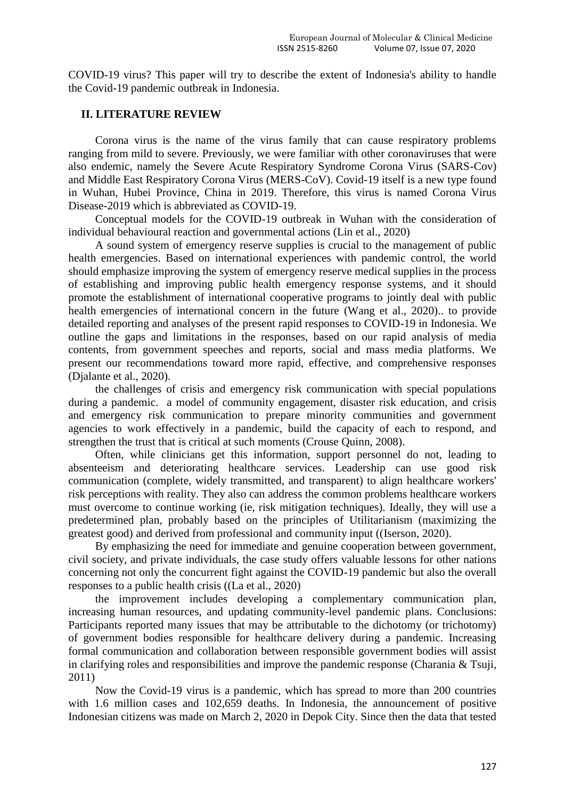COVID-19 virus? This paper will try to describe the extent of Indonesia's ability to handle the Covid-19 pandemic outbreak in Indonesia.

#### **II. LITERATURE REVIEW**

Corona virus is the name of the virus family that can cause respiratory problems ranging from mild to severe. Previously, we were familiar with other coronaviruses that were also endemic, namely the Severe Acute Respiratory Syndrome Corona Virus (SARS-Cov) and Middle East Respiratory Corona Virus (MERS-CoV). Covid-19 itself is a new type found in Wuhan, Hubei Province, China in 2019. Therefore, this virus is named Corona Virus Disease-2019 which is abbreviated as COVID-19.

Conceptual models for the COVID-19 outbreak in Wuhan with the consideration of individual behavioural reaction and governmental actions (Lin et al., 2020)

A sound system of emergency reserve supplies is crucial to the management of public health emergencies. Based on international experiences with pandemic control, the world should emphasize improving the system of emergency reserve medical supplies in the process of establishing and improving public health emergency response systems, and it should promote the establishment of international cooperative programs to jointly deal with public health emergencies of international concern in the future (Wang et al., 2020).. to provide detailed reporting and analyses of the present rapid responses to COVID-19 in Indonesia. We outline the gaps and limitations in the responses, based on our rapid analysis of media contents, from government speeches and reports, social and mass media platforms. We present our recommendations toward more rapid, effective, and comprehensive responses (Djalante et al., 2020).

the challenges of crisis and emergency risk communication with special populations during a pandemic. a model of community engagement, disaster risk education, and crisis and emergency risk communication to prepare minority communities and government agencies to work effectively in a pandemic, build the capacity of each to respond, and strengthen the trust that is critical at such moments (Crouse Quinn, 2008).

Often, while clinicians get this information, support personnel do not, leading to absenteeism and deteriorating healthcare services. Leadership can use good risk communication (complete, widely transmitted, and transparent) to align healthcare workers' risk perceptions with reality. They also can address the common problems healthcare workers must overcome to continue working (ie, risk mitigation techniques). Ideally, they will use a predetermined plan, probably based on the principles of Utilitarianism (maximizing the greatest good) and derived from professional and community input ((Iserson, 2020).

By emphasizing the need for immediate and genuine cooperation between government, civil society, and private individuals, the case study offers valuable lessons for other nations concerning not only the concurrent fight against the COVID-19 pandemic but also the overall responses to a public health crisis ((La et al., 2020)

the improvement includes developing a complementary communication plan, increasing human resources, and updating community-level pandemic plans. Conclusions: Participants reported many issues that may be attributable to the dichotomy (or trichotomy) of government bodies responsible for healthcare delivery during a pandemic. Increasing formal communication and collaboration between responsible government bodies will assist in clarifying roles and responsibilities and improve the pandemic response (Charania & Tsuji, 2011)

Now the Covid-19 virus is a pandemic, which has spread to more than 200 countries with 1.6 million cases and 102,659 deaths. In Indonesia, the announcement of positive Indonesian citizens was made on March 2, 2020 in Depok City. Since then the data that tested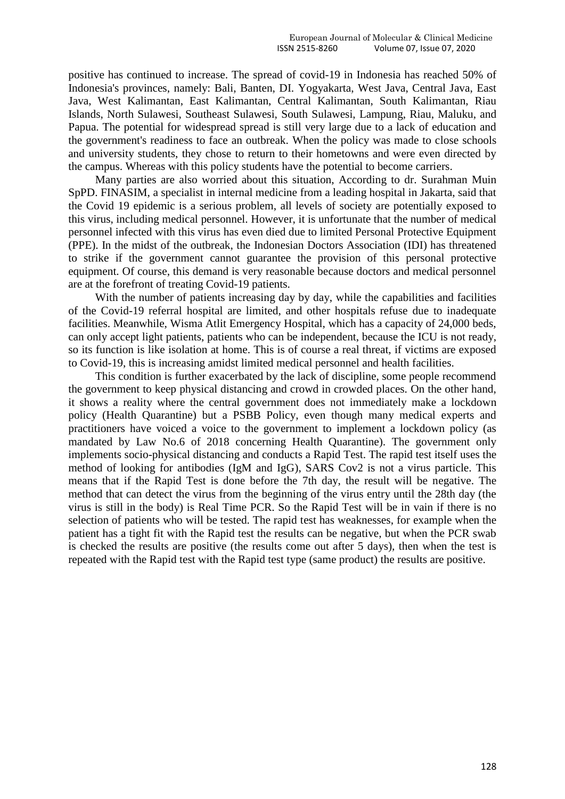positive has continued to increase. The spread of covid-19 in Indonesia has reached 50% of Indonesia's provinces, namely: Bali, Banten, DI. Yogyakarta, West Java, Central Java, East Java, West Kalimantan, East Kalimantan, Central Kalimantan, South Kalimantan, Riau Islands, North Sulawesi, Southeast Sulawesi, South Sulawesi, Lampung, Riau, Maluku, and Papua. The potential for widespread spread is still very large due to a lack of education and the government's readiness to face an outbreak. When the policy was made to close schools and university students, they chose to return to their hometowns and were even directed by the campus. Whereas with this policy students have the potential to become carriers.

Many parties are also worried about this situation, According to dr. Surahman Muin SpPD. FINASIM, a specialist in internal medicine from a leading hospital in Jakarta, said that the Covid 19 epidemic is a serious problem, all levels of society are potentially exposed to this virus, including medical personnel. However, it is unfortunate that the number of medical personnel infected with this virus has even died due to limited Personal Protective Equipment (PPE). In the midst of the outbreak, the Indonesian Doctors Association (IDI) has threatened to strike if the government cannot guarantee the provision of this personal protective equipment. Of course, this demand is very reasonable because doctors and medical personnel are at the forefront of treating Covid-19 patients.

With the number of patients increasing day by day, while the capabilities and facilities of the Covid-19 referral hospital are limited, and other hospitals refuse due to inadequate facilities. Meanwhile, Wisma Atlit Emergency Hospital, which has a capacity of 24,000 beds, can only accept light patients, patients who can be independent, because the ICU is not ready, so its function is like isolation at home. This is of course a real threat, if victims are exposed to Covid-19, this is increasing amidst limited medical personnel and health facilities.

This condition is further exacerbated by the lack of discipline, some people recommend the government to keep physical distancing and crowd in crowded places. On the other hand, it shows a reality where the central government does not immediately make a lockdown policy (Health Quarantine) but a PSBB Policy, even though many medical experts and practitioners have voiced a voice to the government to implement a lockdown policy (as mandated by Law No.6 of 2018 concerning Health Quarantine). The government only implements socio-physical distancing and conducts a Rapid Test. The rapid test itself uses the method of looking for antibodies (IgM and IgG), SARS Cov2 is not a virus particle. This means that if the Rapid Test is done before the 7th day, the result will be negative. The method that can detect the virus from the beginning of the virus entry until the 28th day (the virus is still in the body) is Real Time PCR. So the Rapid Test will be in vain if there is no selection of patients who will be tested. The rapid test has weaknesses, for example when the patient has a tight fit with the Rapid test the results can be negative, but when the PCR swab is checked the results are positive (the results come out after 5 days), then when the test is repeated with the Rapid test with the Rapid test type (same product) the results are positive.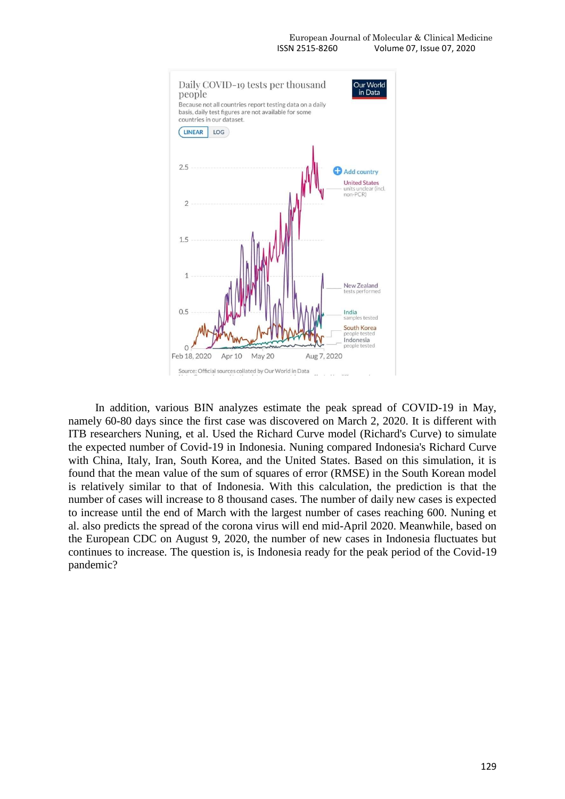

In addition, various BIN analyzes estimate the peak spread of COVID-19 in May, namely 60-80 days since the first case was discovered on March 2, 2020. It is different with ITB researchers Nuning, et al. Used the Richard Curve model (Richard's Curve) to simulate the expected number of Covid-19 in Indonesia. Nuning compared Indonesia's Richard Curve with China, Italy, Iran, South Korea, and the United States. Based on this simulation, it is found that the mean value of the sum of squares of error (RMSE) in the South Korean model is relatively similar to that of Indonesia. With this calculation, the prediction is that the number of cases will increase to 8 thousand cases. The number of daily new cases is expected to increase until the end of March with the largest number of cases reaching 600. Nuning et al. also predicts the spread of the corona virus will end mid-April 2020. Meanwhile, based on the European CDC on August 9, 2020, the number of new cases in Indonesia fluctuates but continues to increase. The question is, is Indonesia ready for the peak period of the Covid-19 pandemic?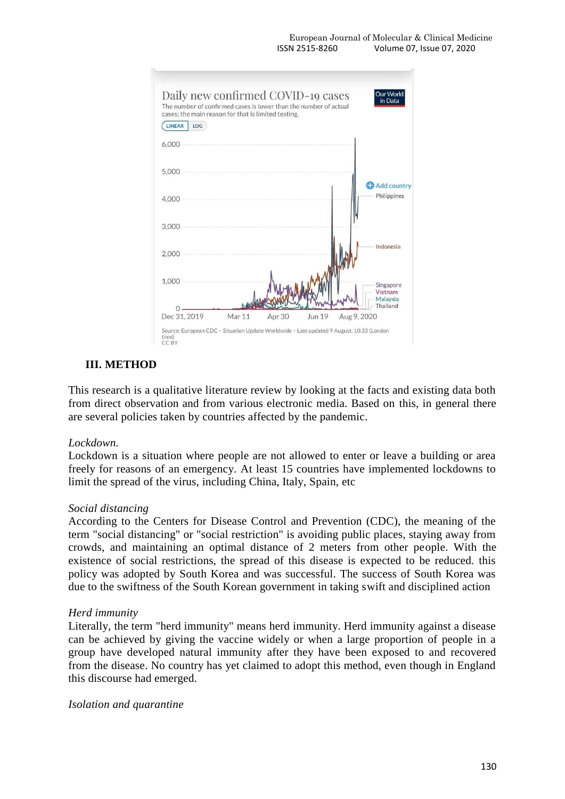

## **III. METHOD**

This research is a qualitative literature review by looking at the facts and existing data both from direct observation and from various electronic media. Based on this, in general there are several policies taken by countries affected by the pandemic.

## *Lockdown.*

Lockdown is a situation where people are not allowed to enter or leave a building or area freely for reasons of an emergency. At least 15 countries have implemented lockdowns to limit the spread of the virus, including China, Italy, Spain, etc

## *Social distancing*

According to the Centers for Disease Control and Prevention (CDC), the meaning of the term "social distancing" or "social restriction" is avoiding public places, staying away from crowds, and maintaining an optimal distance of 2 meters from other people. With the existence of social restrictions, the spread of this disease is expected to be reduced. this policy was adopted by South Korea and was successful. The success of South Korea was due to the swiftness of the South Korean government in taking swift and disciplined action

## *Herd immunity*

Literally, the term "herd immunity" means herd immunity. Herd immunity against a disease can be achieved by giving the vaccine widely or when a large proportion of people in a group have developed natural immunity after they have been exposed to and recovered from the disease. No country has yet claimed to adopt this method, even though in England this discourse had emerged.

*Isolation and quarantine*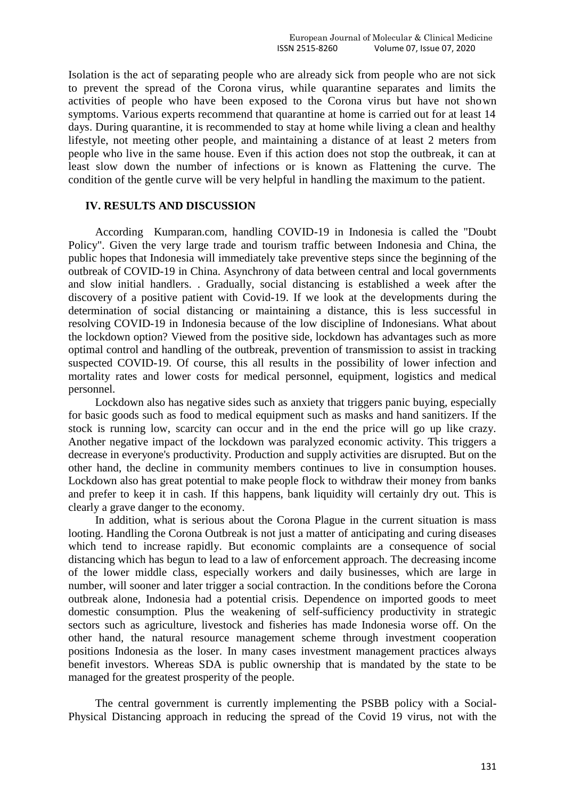Isolation is the act of separating people who are already sick from people who are not sick to prevent the spread of the Corona virus, while quarantine separates and limits the activities of people who have been exposed to the Corona virus but have not shown symptoms. Various experts recommend that quarantine at home is carried out for at least 14 days. During quarantine, it is recommended to stay at home while living a clean and healthy lifestyle, not meeting other people, and maintaining a distance of at least 2 meters from people who live in the same house. Even if this action does not stop the outbreak, it can at least slow down the number of infections or is known as Flattening the curve. The condition of the gentle curve will be very helpful in handling the maximum to the patient.

## **IV. RESULTS AND DISCUSSION**

According Kumparan.com, handling COVID-19 in Indonesia is called the "Doubt Policy". Given the very large trade and tourism traffic between Indonesia and China, the public hopes that Indonesia will immediately take preventive steps since the beginning of the outbreak of COVID-19 in China. Asynchrony of data between central and local governments and slow initial handlers. . Gradually, social distancing is established a week after the discovery of a positive patient with Covid-19. If we look at the developments during the determination of social distancing or maintaining a distance, this is less successful in resolving COVID-19 in Indonesia because of the low discipline of Indonesians. What about the lockdown option? Viewed from the positive side, lockdown has advantages such as more optimal control and handling of the outbreak, prevention of transmission to assist in tracking suspected COVID-19. Of course, this all results in the possibility of lower infection and mortality rates and lower costs for medical personnel, equipment, logistics and medical personnel.

Lockdown also has negative sides such as anxiety that triggers panic buying, especially for basic goods such as food to medical equipment such as masks and hand sanitizers. If the stock is running low, scarcity can occur and in the end the price will go up like crazy. Another negative impact of the lockdown was paralyzed economic activity. This triggers a decrease in everyone's productivity. Production and supply activities are disrupted. But on the other hand, the decline in community members continues to live in consumption houses. Lockdown also has great potential to make people flock to withdraw their money from banks and prefer to keep it in cash. If this happens, bank liquidity will certainly dry out. This is clearly a grave danger to the economy.

In addition, what is serious about the Corona Plague in the current situation is mass looting. Handling the Corona Outbreak is not just a matter of anticipating and curing diseases which tend to increase rapidly. But economic complaints are a consequence of social distancing which has begun to lead to a law of enforcement approach. The decreasing income of the lower middle class, especially workers and daily businesses, which are large in number, will sooner and later trigger a social contraction. In the conditions before the Corona outbreak alone, Indonesia had a potential crisis. Dependence on imported goods to meet domestic consumption. Plus the weakening of self-sufficiency productivity in strategic sectors such as agriculture, livestock and fisheries has made Indonesia worse off. On the other hand, the natural resource management scheme through investment cooperation positions Indonesia as the loser. In many cases investment management practices always benefit investors. Whereas SDA is public ownership that is mandated by the state to be managed for the greatest prosperity of the people.

The central government is currently implementing the PSBB policy with a Social-Physical Distancing approach in reducing the spread of the Covid 19 virus, not with the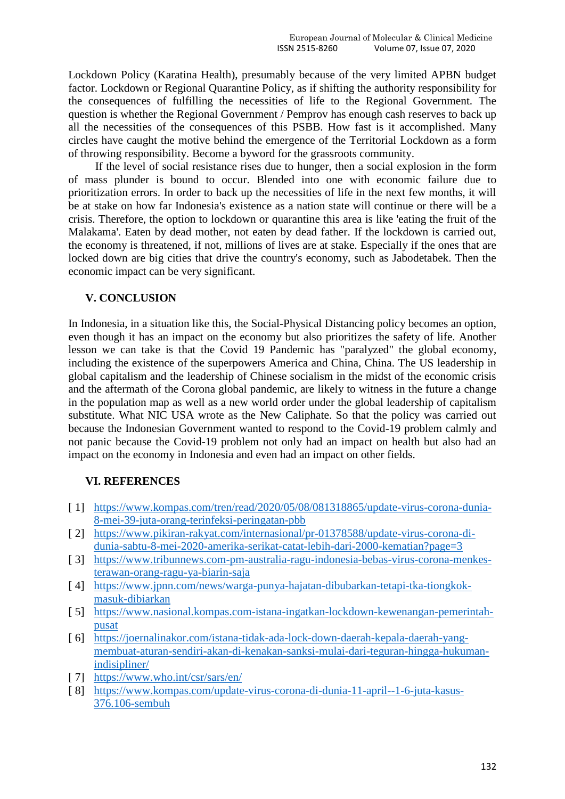Lockdown Policy (Karatina Health), presumably because of the very limited APBN budget factor. Lockdown or Regional Quarantine Policy, as if shifting the authority responsibility for the consequences of fulfilling the necessities of life to the Regional Government. The question is whether the Regional Government / Pemprov has enough cash reserves to back up all the necessities of the consequences of this PSBB. How fast is it accomplished. Many circles have caught the motive behind the emergence of the Territorial Lockdown as a form of throwing responsibility. Become a byword for the grassroots community.

If the level of social resistance rises due to hunger, then a social explosion in the form of mass plunder is bound to occur. Blended into one with economic failure due to prioritization errors. In order to back up the necessities of life in the next few months, it will be at stake on how far Indonesia's existence as a nation state will continue or there will be a crisis. Therefore, the option to lockdown or quarantine this area is like 'eating the fruit of the Malakama'. Eaten by dead mother, not eaten by dead father. If the lockdown is carried out, the economy is threatened, if not, millions of lives are at stake. Especially if the ones that are locked down are big cities that drive the country's economy, such as Jabodetabek. Then the economic impact can be very significant.

## **V. CONCLUSION**

In Indonesia, in a situation like this, the Social-Physical Distancing policy becomes an option, even though it has an impact on the economy but also prioritizes the safety of life. Another lesson we can take is that the Covid 19 Pandemic has "paralyzed" the global economy, including the existence of the superpowers America and China, China. The US leadership in global capitalism and the leadership of Chinese socialism in the midst of the economic crisis and the aftermath of the Corona global pandemic, are likely to witness in the future a change in the population map as well as a new world order under the global leadership of capitalism substitute. What NIC USA wrote as the New Caliphate. So that the policy was carried out because the Indonesian Government wanted to respond to the Covid-19 problem calmly and not panic because the Covid-19 problem not only had an impact on health but also had an impact on the economy in Indonesia and even had an impact on other fields.

# **VI. REFERENCES**

- [ 1] [https://www.kompas.com/tren/read/2020/05/08/081318865/update-virus-corona-dunia-](https://www.kompas.com/tren/read/2020/05/08/081318865/update-virus-corona-dunia-8-mei-39-juta-orang-terinfeksi-peringatan-pbb)[8-mei-39-juta-orang-terinfeksi-peringatan-pbb](https://www.kompas.com/tren/read/2020/05/08/081318865/update-virus-corona-dunia-8-mei-39-juta-orang-terinfeksi-peringatan-pbb)
- [ 2] [https://www.pikiran-rakyat.com/internasional/pr-01378588/update-virus-corona-di](https://www.pikiran-rakyat.com/internasional/pr-01378588/update-virus-corona-di-dunia-sabtu-8-mei-2020-amerika-serikat-catat-lebih-dari-2000-kematian?page=3)[dunia-sabtu-8-mei-2020-amerika-serikat-catat-lebih-dari-2000-kematian?page=3](https://www.pikiran-rakyat.com/internasional/pr-01378588/update-virus-corona-di-dunia-sabtu-8-mei-2020-amerika-serikat-catat-lebih-dari-2000-kematian?page=3)
- [ 3] [https://www.tribunnews.com-pm-australia-ragu-indonesia-bebas-virus-corona-menkes](https://www.tribunnews.com-pm-australia-ragu-indonesia-bebas-virus-corona-menkes-terawan-orang-ragu-ya-biarin-saja/)[terawan-orang-ragu-ya-biarin-saja](https://www.tribunnews.com-pm-australia-ragu-indonesia-bebas-virus-corona-menkes-terawan-orang-ragu-ya-biarin-saja/)
- [ 4] [https://www.jpnn.com/news/warga-punya-hajatan-dibubarkan-tetapi-tka-tiongkok](https://www.jpnn.com/news/warga-punya-hajatan-dibubarkan-tetapi-tka-tiongkok-masuk-dibiarkan)[masuk-dibiarkan](https://www.jpnn.com/news/warga-punya-hajatan-dibubarkan-tetapi-tka-tiongkok-masuk-dibiarkan)
- [ 5] [https://www.nasional.kompas.com-istana-ingatkan-lockdown-kewenangan-pemerintah](https://www.nasional.kompas.com-istana-ingatkan-lockdown-kewenangan-pemerintah-pusat/)[pusat](https://www.nasional.kompas.com-istana-ingatkan-lockdown-kewenangan-pemerintah-pusat/)
- [ 6] [https://joernalinakor.com/istana-tidak-ada-lock-down-daerah-kepala-daerah-yang](https://joernalinakor.com/istana-tidak-ada-lock-down-daerah-kepala-daerah-yang-membuat-aturan-sendiri-akan-di-kenakan-sanksi-mulai-dari-teguran-hingga-hukuman-indisipliner/)[membuat-aturan-sendiri-akan-di-kenakan-sanksi-mulai-dari-teguran-hingga-hukuman](https://joernalinakor.com/istana-tidak-ada-lock-down-daerah-kepala-daerah-yang-membuat-aturan-sendiri-akan-di-kenakan-sanksi-mulai-dari-teguran-hingga-hukuman-indisipliner/)[indisipliner/](https://joernalinakor.com/istana-tidak-ada-lock-down-daerah-kepala-daerah-yang-membuat-aturan-sendiri-akan-di-kenakan-sanksi-mulai-dari-teguran-hingga-hukuman-indisipliner/)
- [ 7] <https://www.who.int/csr/sars/en/>
- [ 8] [https://www.kompas.com/update-virus-corona-di-dunia-11-april--1-6-juta-kasus-](https://www.kompas.com/update-virus-corona-di-dunia-11-april--1-6-juta-kasus-376.106-sembuh)[376.106-sembuh](https://www.kompas.com/update-virus-corona-di-dunia-11-april--1-6-juta-kasus-376.106-sembuh)